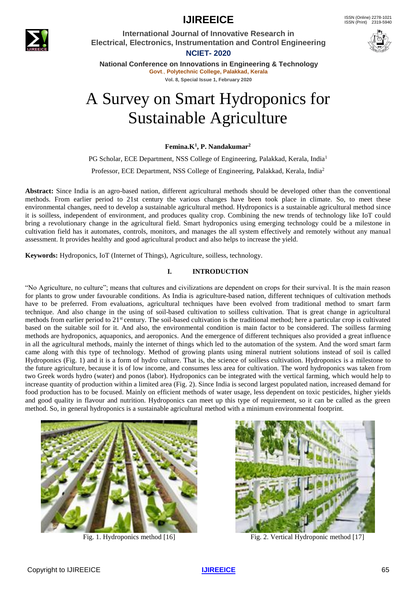



**International Journal of Innovative Research in Electrical, Electronics, Instrumentation and Control Engineering NCIET- 2020**



**National Conference on Innovations in Engineering & Technology Govt**., **Polytechnic College, Palakkad, Kerala Vol. 8, Special Issue 1, February 2020**

# A Survey on Smart Hydroponics for Sustainable Agriculture

**Femina.K<sup>1</sup> , P. Nandakumar<sup>2</sup>**

PG Scholar, ECE Department, NSS College of Engineering, Palakkad, Kerala, India<sup>1</sup> Professor, ECE Department, NSS College of Engineering, Palakkad, Kerala, India<sup>2</sup>

**Abstract:** Since India is an agro-based nation, different agricultural methods should be developed other than the conventional methods. From earlier period to 21st century the various changes have been took place in climate. So, to meet these environmental changes, need to develop a sustainable agricultural method. Hydroponics is a sustainable agricultural method since it is soilless, independent of environment, and produces quality crop. Combining the new trends of technology like IoT could bring a revolutionary change in the agricultural field. Smart hydroponics using emerging technology could be a milestone in cultivation field has it automates, controls, monitors, and manages the all system effectively and remotely without any manual assessment. It provides healthy and good agricultural product and also helps to increase the yield.

**Keywords:** Hydroponics, IoT (Internet of Things), Agriculture, soilless, technology.

### **I. INTRODUCTION**

"No Agriculture, no culture"; means that cultures and civilizations are dependent on crops for their survival. It is the main reason for plants to grow under favourable conditions. As India is agriculture-based nation, different techniques of cultivation methods have to be preferred. From evaluations, agricultural techniques have been evolved from traditional method to smart farm technique. And also change in the using of soil-based cultivation to soilless cultivation. That is great change in agricultural methods from earlier period to 21<sup>st</sup> century. The soil-based cultivation is the traditional method; here a particular crop is cultivated based on the suitable soil for it. And also, the environmental condition is main factor to be considered. The soilless farming methods are hydroponics, aquaponics, and aeroponics. And the emergence of different techniques also provided a great influence in all the agricultural methods, mainly the internet of things which led to the automation of the system. And the word smart farm came along with this type of technology. Method of growing plants using mineral nutrient solutions instead of soil is called Hydroponics (Fig. 1) and it is a form of hydro culture. That is, the science of soilless cultivation. Hydroponics is a milestone to the future agriculture, because it is of low income, and consumes less area for cultivation. The word hydroponics was taken from two Greek words hydro (water) and ponos (labor). Hydroponics can be integrated with the vertical farming, which would help to increase quantity of production within a limited area (Fig. 2). Since India is second largest populated nation, increased demand for food production has to be focused. Mainly on efficient methods of water usage, less dependent on toxic pesticides, higher yields and good quality in flavour and nutrition. Hydroponics can meet up this type of requirement, so it can be called as the green method. So, in general hydroponics is a sustainable agricultural method with a minimum environmental footprint.





Fig. 1. Hydroponics method [16] Fig. 2. Vertical Hydroponic method [17]

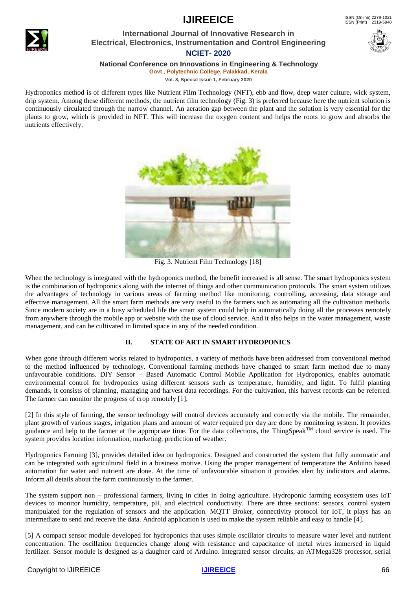### **International Journal of Innovative Research in Electrical, Electronics, Instrumentation and Control Engineering NCIET- 2020**



**National Conference on Innovations in Engineering & Technology**

**Govt**., **Polytechnic College, Palakkad, Kerala**

**Vol. 8, Special Issue 1, February 2020**

Hydroponics method is of different types like Nutrient Film Technology (NFT), ebb and flow, deep water culture, wick system, drip system. Among these different methods, the nutrient film technology (Fig. 3) is preferred because here the nutrient solution is continuously circulated through the narrow channel. An aeration gap between the plant and the solution is very essential for the plants to grow, which is provided in NFT. This will increase the oxygen content and helps the roots to grow and absorbs the nutrients effectively.



Fig. 3. Nutrient Film Technology [18]

When the technology is integrated with the hydroponics method, the benefit increased is all sense. The smart hydroponics system is the combination of hydroponics along with the internet of things and other communication protocols. The smart system utilizes the advantages of technology in various areas of farming method like monitoring, controlling, accessing, data storage and effective management. All the smart farm methods are very useful to the farmers such as automating all the cultivation methods. Since modern society are in a busy scheduled life the smart system could help in automatically doing all the processes remotely from anywhere through the mobile app or website with the use of cloud service. And it also helps in the water management, waste management, and can be cultivated in limited space in any of the needed condition.

### **II. STATE OF ART IN SMART HYDROPONICS**

When gone through different works related to hydroponics, a variety of methods have been addressed from conventional method to the method influenced by technology. Conventional farming methods have changed to smart farm method due to many unfavourable conditions. DIY Sensor – Based Automatic Control Mobile Application for Hydroponics, enables automatic environmental control for hydroponics using different sensors such as temperature, humidity, and light. To fulfil planting demands, it consists of planning, managing and harvest data recordings. For the cultivation, this harvest records can be referred. The farmer can monitor the progress of crop remotely [1].

[2] In this style of farming, the sensor technology will control devices accurately and correctly via the mobile. The remainder, plant growth of various stages, irrigation plans and amount of water required per day are done by monitoring system. It provides guidance and help to the farmer at the appropriate time. For the data collections, the ThingSpeak<sup>TM</sup> cloud service is used. The system provides location information, marketing, prediction of weather.

Hydroponics Farming [3], provides detailed idea on hydroponics. Designed and constructed the system that fully automatic and can be integrated with agricultural field in a business motive. Using the proper management of temperature the Arduino based automation for water and nutrient are done. At the time of unfavourable situation it provides alert by indicators and alarms. Inform all details about the farm continuously to the farmer.

The system support non – professional farmers, living in cities in doing agriculture. Hydroponic farming ecosystem uses IoT devices to monitor humidity, temperature, pH, and electrical conductivity. There are three sections: sensors, control system manipulated for the regulation of sensors and the application. MQTT Broker, connectivity protocol for IoT, it plays has an intermediate to send and receive the data. Android application is used to make the system reliable and easy to handle [4].

[5] A compact sensor module developed for hydroponics that uses simple oscillator circuits to measure water level and nutrient concentration. The oscillation frequencies change along with resistance and capacitance of metal wires immersed in liquid fertilizer. Sensor module is designed as a daughter card of Arduino. Integrated sensor circuits, an ATMega328 processor, serial

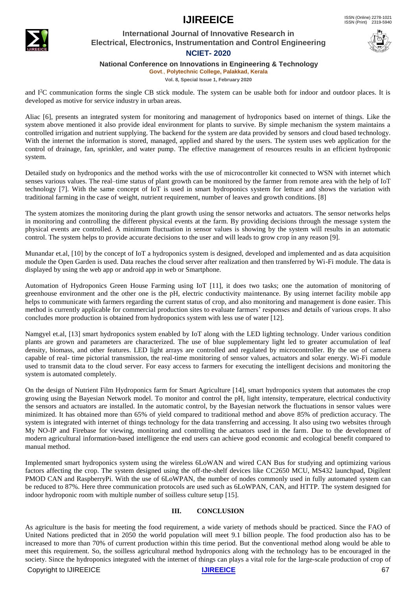

### **International Journal of Innovative Research in Electrical, Electronics, Instrumentation and Control Engineering NCIET- 2020**



**National Conference on Innovations in Engineering & Technology**

**Govt**., **Polytechnic College, Palakkad, Kerala**

**Vol. 8, Special Issue 1, February 2020**

and I<sup>2</sup>C communication forms the single CB stick module. The system can be usable both for indoor and outdoor places. It is developed as motive for service industry in urban areas.

Aliac [6], presents an integrated system for monitoring and management of hydroponics based on internet of things. Like the system above mentioned it also provide ideal environment for plants to survive. By simple mechanism the system maintains a controlled irrigation and nutrient supplying. The backend for the system are data provided by sensors and cloud based technology. With the internet the information is stored, managed, applied and shared by the users. The system uses web application for the control of drainage, fan, sprinkler, and water pump. The effective management of resources results in an efficient hydroponic system.

Detailed study on hydroponics and the method works with the use of microcontroller kit connected to WSN with internet which senses various values. The real–time status of plant growth can be monitored by the farmer from remote area with the help of IoT technology [7]. With the same concept of IoT is used in smart hydroponics system for lettuce and shows the variation with traditional farming in the case of weight, nutrient requirement, number of leaves and growth conditions. [8]

The system atomizes the monitoring during the plant growth using the sensor networks and actuators. The sensor networks helps in monitoring and controlling the different physical events at the farm. By providing decisions through the message system the physical events are controlled. A minimum fluctuation in sensor values is showing by the system will results in an automatic control. The system helps to provide accurate decisions to the user and will leads to grow crop in any reason [9].

Munandar et.al, [10] by the concept of IoT a hydroponics system is designed, developed and implemented and as data acquisition module the Open Garden is used. Data reaches the cloud server after realization and then transferred by Wi-Fi module. The data is displayed by using the web app or android app in web or Smartphone.

Automation of Hydroponics Green House Farming using IoT [11], it does two tasks; one the automation of monitoring of greenhouse environment and the other one is the pH, electric conductivity maintenance. By using internet facility mobile app helps to communicate with farmers regarding the current status of crop, and also monitoring and management is done easier. This method is currently applicable for commercial production sites to evaluate farmers' responses and details of various crops. It also concludes more production is obtained from hydroponics system with less use of water [12].

Namgyel et.al, [13] smart hydroponics system enabled by IoT along with the LED lighting technology. Under various condition plants are grown and parameters are characterized. The use of blue supplementary light led to greater accumulation of leaf density, biomass, and other features. LED light arrays are controlled and regulated by microcontroller. By the use of camera capable of real- time pictorial transmission, the real-time monitoring of sensor values, actuators and solar energy. Wi-Fi module used to transmit data to the cloud server. For easy access to farmers for executing the intelligent decisions and monitoring the system is automated completely.

On the design of Nutrient Film Hydroponics farm for Smart Agriculture [14], smart hydroponics system that automates the crop growing using the Bayesian Network model. To monitor and control the pH, light intensity, temperature, electrical conductivity the sensors and actuators are installed. In the automatic control, by the Bayesian network the fluctuations in sensor values were minimized. It has obtained more than 65% of yield compared to traditional method and above 85% of prediction accuracy. The system is integrated with internet of things technology for the data transferring and accessing. It also using two websites through My NO-IP and Firebase for viewing, monitoring and controlling the actuators used in the farm. Due to the development of modern agricultural information-based intelligence the end users can achieve good economic and ecological benefit compared to manual method.

Implemented smart hydroponics system using the wireless 6LoWAN and wired CAN Bus for studying and optimizing various factors affecting the crop. The system designed using the off-the-shelf devices like CC2650 MCU, MS432 launchpad, Digilent PMOD CAN and RaspberryPi. With the use of 6LoWPAN, the number of nodes commonly used in fully automated system can be reduced to 87%. Here three communication protocols are used such as 6LoWPAN, CAN, and HTTP. The system designed for indoor hydroponic room with multiple number of soilless culture setup [15].

### **III. CONCLUSION**

As agriculture is the basis for meeting the food requirement, a wide variety of methods should be practiced. Since the FAO of United Nations predicted that in 2050 the world population will meet 9.1 billion people. The food production also has to be increased to more than 70% of current production within this time period. But the conventional method along would be able to meet this requirement. So, the soilless agricultural method hydroponics along with the technology has to be encouraged in the society. Since the hydroponics integrated with the internet of things can plays a vital role for the large-scale production of crop of

**Copyright to IJIREEICE** 67